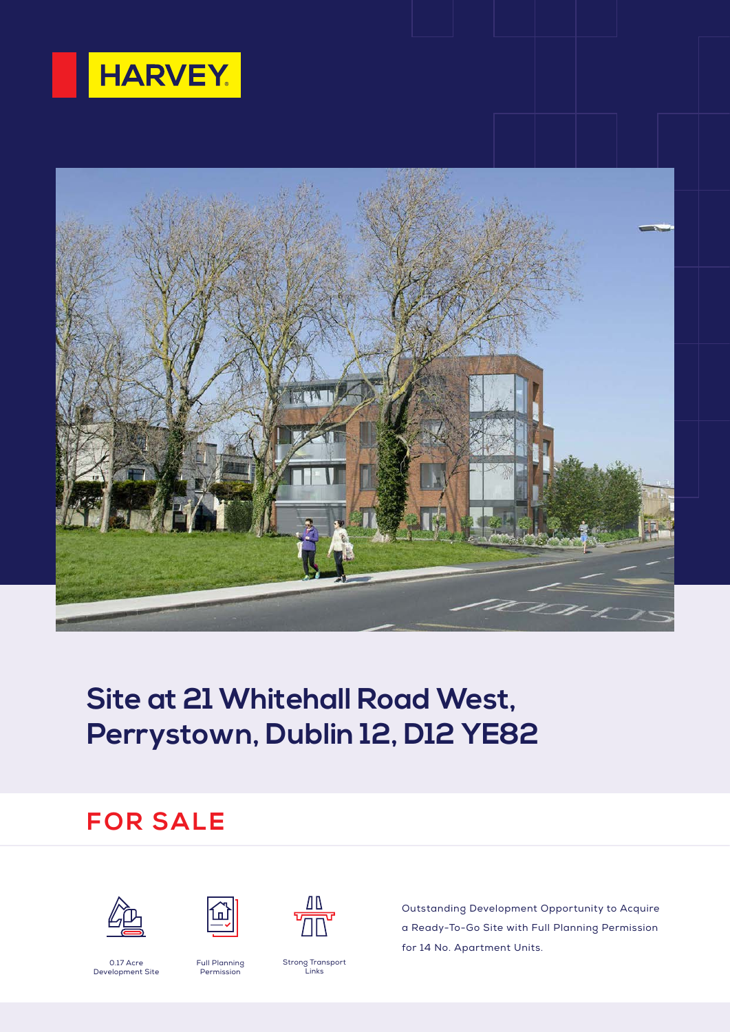



# **Site at 21 Whitehall Road West, Perrystown, Dublin 12, D12 YE82**

## **FOR SALE**







Outstanding Development Opportunity to Acquire a Ready-To-Go Site with Full Planning Permission for 14 No. Apartment Units.

0.17 Acre Development Site

Full Planning Permission

Strong Transport Links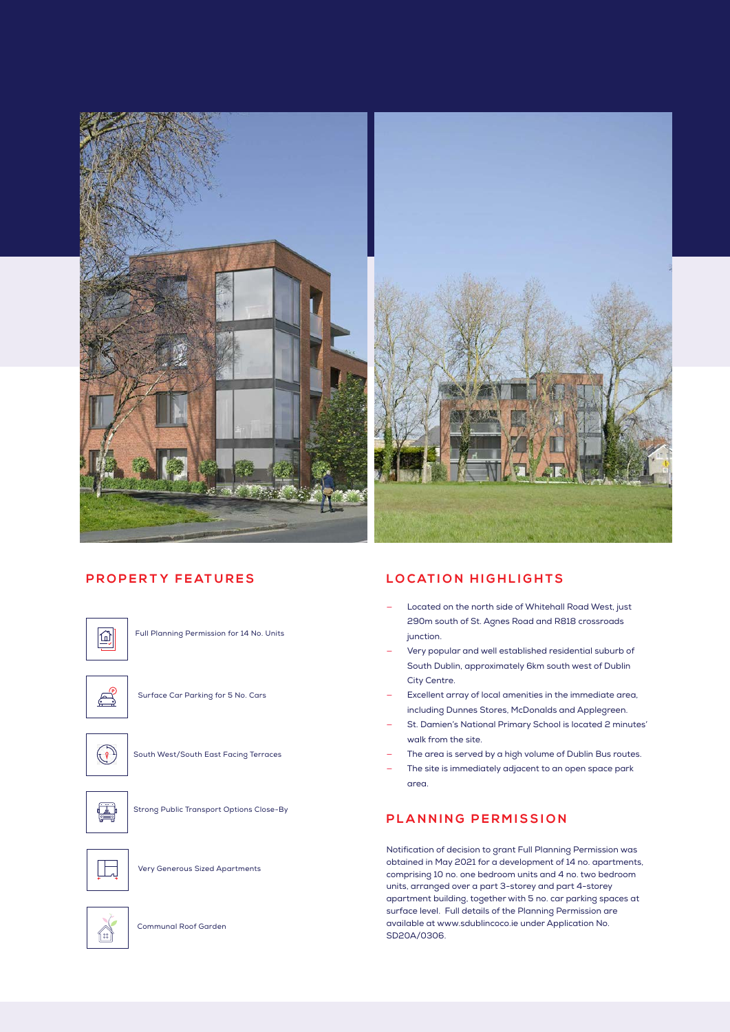

#### **P R O P E R T Y F E AT U R E S**



Full Planning Permission for 14 No. Units

 $\mathbb{E}^3$ 

Surface Car Parking for 5 No. Cars



South West/South East Facing Terraces



Strong Public Transport Options Close-By



Very Generous Sized Apartments



Communal Roof Garden

#### **LOCATION HIGHLIGHTS**

- Located on the north side of Whitehall Road West, just 290m south of St. Agnes Road and R818 crossroads junction.
- Very popular and well established residential suburb of South Dublin, approximately 6km south west of Dublin City Centre.
- Excellent array of local amenities in the immediate area, including Dunnes Stores, McDonalds and Applegreen.
- St. Damien's National Primary School is located 2 minutes' walk from the site.
- The area is served by a high volume of Dublin Bus routes.
- The site is immediately adjacent to an open space park area.

#### **PLANNING PERMISSION**

Notification of decision to grant Full Planning Permission was obtained in May 2021 for a development of 14 no. apartments, comprising 10 no. one bedroom units and 4 no. two bedroom units, arranged over a part 3-storey and part 4-storey apartment building, together with 5 no. car parking spaces at surface level. Full details of the Planning Permission are available at www.sdublincoco.ie under Application No. SD20A/0306.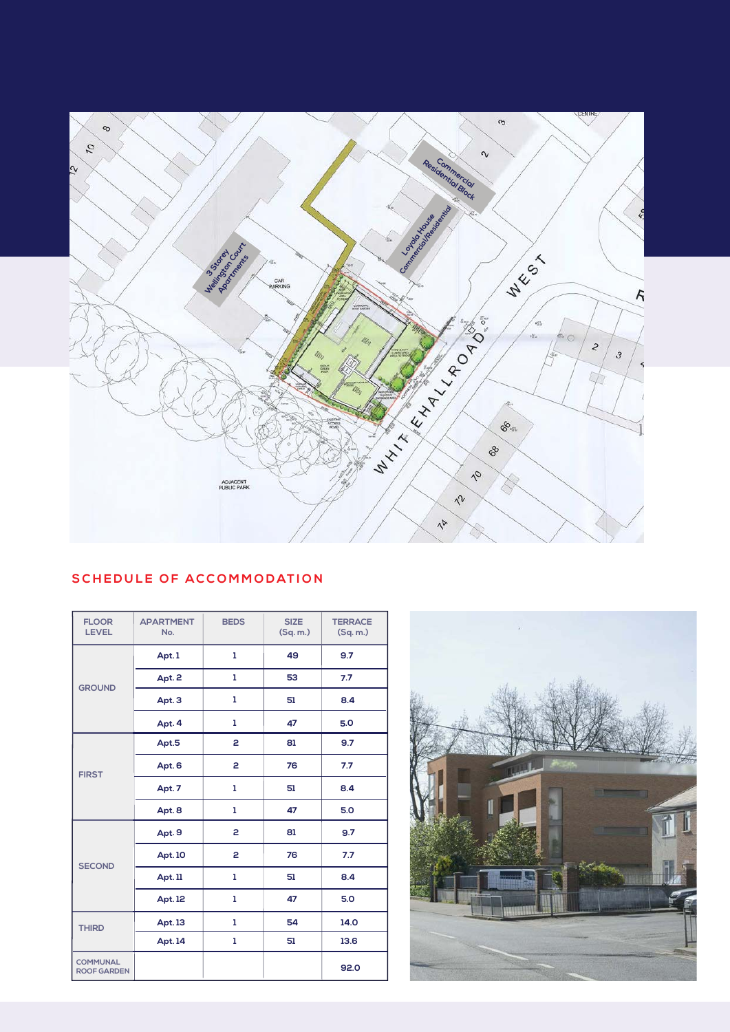

### **SCHEDULE OF ACCOMMODATION**

| <b>FLOOR</b><br><b>LEVEL</b>          | <b>APARTMENT</b><br>No. | <b>BEDS</b>    | <b>SIZE</b><br>(Sq. m.) | <b>TERRACE</b><br>(Sq, m) |
|---------------------------------------|-------------------------|----------------|-------------------------|---------------------------|
| <b>GROUND</b>                         | Apt.1                   | ı              | 49                      | 9.7                       |
|                                       | Apt. 2                  | ı              | 53                      | 7.7                       |
|                                       | Apt. 3                  | ı              | 51                      | 8.4                       |
|                                       | Apt. 4                  | ı              | 47                      | 5.0                       |
| <b>FIRST</b>                          | Apt.5                   | 2              | 81                      | 9.7                       |
|                                       | Apt. 6                  | 2              | 76                      | 7.7                       |
|                                       | Apt. 7                  | ı              | 51                      | 8.4                       |
|                                       | Apt. 8                  | 1              | 47                      | 5.0                       |
| <b>SECOND</b>                         | Apt. 9                  | $\overline{a}$ | 81                      | 9.7                       |
|                                       | <b>Apt. 10</b>          | 2              | 76                      | 7.7                       |
|                                       | Apt. 11                 | ı              | 51                      | 8.4                       |
|                                       | Apt. 12                 | ı              | 47                      | 5.0                       |
| <b>THIRD</b>                          | Apt. 13                 | ı              | 54                      | 14.0                      |
|                                       | Apt. 14                 | ı              | 51                      | 13.6                      |
| <b>COMMUNAL</b><br><b>ROOF GARDEN</b> |                         |                |                         | 92.0                      |